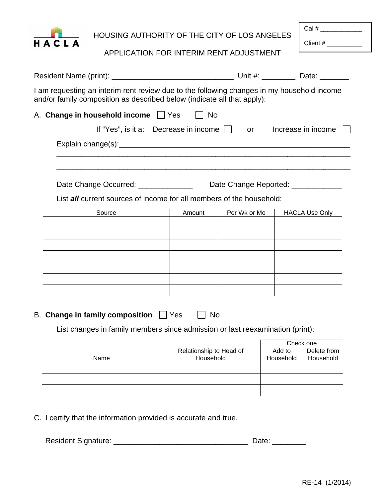

HOUSING AUTHORITY OF THE CITY OF LOS ANGELES

Cal #

Client #

APPLICATION FOR INTERIM RENT ADJUSTMENT

| I am requesting an interim rent review due to the following changes in my household income<br>and/or family composition as described below (indicate all that apply): |           |              |                                     |
|-----------------------------------------------------------------------------------------------------------------------------------------------------------------------|-----------|--------------|-------------------------------------|
| A. Change in household income JYes                                                                                                                                    | <b>No</b> |              |                                     |
| If "Yes", is it a: Decrease in income $\vert \vert$                                                                                                                   |           | <b>or</b>    | Increase in income                  |
|                                                                                                                                                                       |           |              |                                     |
|                                                                                                                                                                       |           |              |                                     |
|                                                                                                                                                                       |           |              |                                     |
| Date Change Occurred: ______________<br>List <b>all</b> current sources of income for all members of the household:                                                   |           |              | Date Change Reported: _____________ |
| Source                                                                                                                                                                | Amount    | Per Wk or Mo | <b>HACLA Use Only</b>               |
|                                                                                                                                                                       |           |              |                                     |
|                                                                                                                                                                       |           |              |                                     |
|                                                                                                                                                                       |           |              |                                     |
|                                                                                                                                                                       |           |              |                                     |
|                                                                                                                                                                       |           |              |                                     |
| <b>B.</b> Change in family composition<br>Yes                                                                                                                         | No        |              |                                     |

List changes in family members since admission or last reexamination (print):

|      |                         | Check one |             |
|------|-------------------------|-----------|-------------|
|      | Relationship to Head of | Add to    | Delete from |
| Name | Household               | Household | Household   |
|      |                         |           |             |
|      |                         |           |             |
|      |                         |           |             |
|      |                         |           |             |
|      |                         |           |             |
|      |                         |           |             |

C. I certify that the information provided is accurate and true.